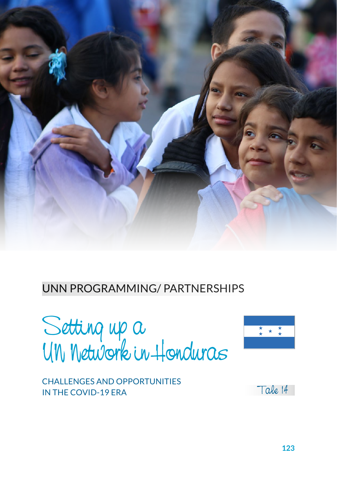

#### UNN PROGRAMMING/ PARTNERSHIPS

Setting up a UN Network in Honduras



CHALLENGES AND OPPORTUNITIES IN THE COVID-19 ERA

Tale 14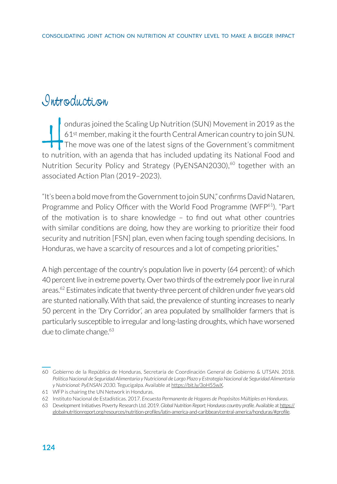### *Introduction*

onduras joined the Scaling Up Nutrition (SUN) Movement in 2019 as the<br>61<sup>st</sup> member, making it the fourth Central American country to join SUN.<br>The move was one of the latest signs of the Government's commitment<br>to nutriti 61st member, making it the fourth Central American country to join SUN. The move was one of the latest signs of the Government's commitment to nutrition, with an agenda that has included updating its National Food and Nutrition Security Policy and Strategy (PyENSAN2030),<sup>60</sup> together with an associated Action Plan (2019–2023).

"It's been a bold move from the Government to join SUN," confirms David Nataren, Programme and Policy Officer with the World Food Programme (WFP<sup>61</sup>). "Part of the motivation is to share knowledge – to find out what other countries with similar conditions are doing, how they are working to prioritize their food security and nutrition [FSN] plan, even when facing tough spending decisions. In Honduras, we have a scarcity of resources and a lot of competing priorities."

A high percentage of the country's population live in poverty (64 percent): of which 40 percent live in extreme poverty. Over two thirds of the extremely poor live in rural areas.<sup>62</sup> Estimates indicate that twenty-three percent of children under five years old are stunted nationally. With that said, the prevalence of stunting increases to nearly 50 percent in the 'Dry Corridor', an area populated by smallholder farmers that is particularly susceptible to irregular and long-lasting droughts, which have worsened due to climate change.<sup>63</sup>

<sup>60</sup> Gobierno de la República de Honduras, Secretaría de Coordinación General de Gobierno & UTSAN. 2018. *Política Nacional de Seguridad Alimentaria y Nutricional de Largo Plazo y Estrategia Nacional de Seguridad Alimentaria y Nutricional: PyENSAN 2030*. Tegucigalpa. Available at [https://bit.ly/3oH55wX.](https://bit.ly/3oH55wX)

<sup>61</sup> WFP is chairing the UN Network in Honduras.

<sup>62</sup> Instituto Nacional de Estadísticas. 2017. *Encuesta Permanente de Hogares de Propósitos Múltiples en Honduras*.

<sup>63</sup> Development Initiatives Poverty Research Ltd. 2019. *Global Nutrition Report; Honduras country profile.* Available at https:// globalnutritionreport.org/resources/nutrition-profiles/latin-america-and-caribbean/central-america/honduras/#profile.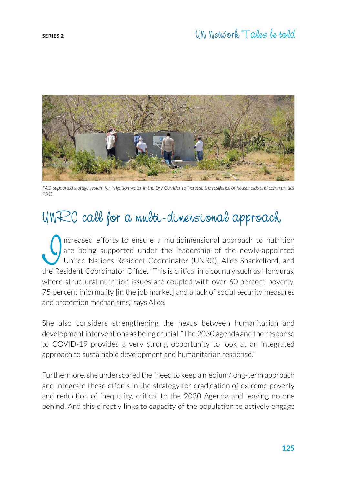

*FAO-supported storage system for irrigation water in the Dry Corridor to increase the resilience of households and communities* FAO

# UNRC call for a multi-dimensional approach

Increased efforts to ensure a multidimensional approach to nutrition<br>
Inited Nations Resident Coordinator (UNRC), Alice Shackelford, and<br>
the Resident Coordinator Office "This is critical in a country such as Honduras are being supported under the leadership of the newly-appointed United Nations Resident Coordinator (UNRC), Alice Shackelford, and the Resident Coordinator Office. "This is critical in a country such as Honduras, where structural nutrition issues are coupled with over 60 percent poverty, 75 percent informality [in the job market] and a lack of social security measures and protection mechanisms," says Alice.

She also considers strengthening the nexus between humanitarian and development interventions as being crucial. "The 2030 agenda and the response to COVID-19 provides a very strong opportunity to look at an integrated approach to sustainable development and humanitarian response."

Furthermore, she underscored the "need to keep a medium/long-term approach and integrate these efforts in the strategy for eradication of extreme poverty and reduction of inequality, critical to the 2030 Agenda and leaving no one behind. And this directly links to capacity of the population to actively engage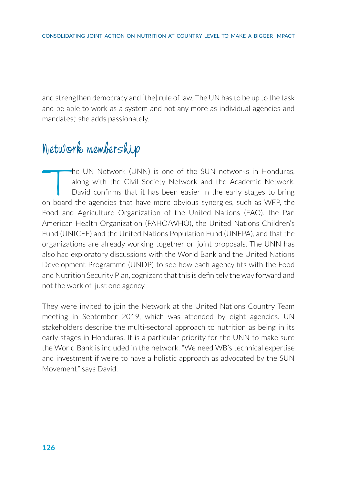and strengthen democracy and [the] rule of law. The UN has to be up to the task and be able to work as a system and not any more as individual agencies and mandates," she adds passionately.

### Network membership

The UN Network (UNN) is one of the SUN networks in Honduras,<br>along with the Civil Society Network and the Academic Network.<br>David confirms that it has been easier in the early stages to bring<br>on board the agencies that hav along with the Civil Society Network and the Academic Network. David confirms that it has been easier in the early stages to bring on board the agencies that have more obvious synergies, such as WFP, the Food and Agriculture Organization of the United Nations (FAO), the Pan American Health Organization (PAHO/WHO), the United Nations Children's Fund (UNICEF) and the United Nations Population Fund (UNFPA), and that the organizations are already working together on joint proposals. The UNN has also had exploratory discussions with the World Bank and the United Nations Development Programme (UNDP) to see how each agency fits with the Food and Nutrition Security Plan, cognizant that this is definitely the way forward and not the work of just one agency.

They were invited to join the Network at the United Nations Country Team meeting in September 2019, which was attended by eight agencies. UN stakeholders describe the multi-sectoral approach to nutrition as being in its early stages in Honduras. It is a particular priority for the UNN to make sure the World Bank is included in the network. "We need WB's technical expertise and investment if we're to have a holistic approach as advocated by the SUN Movement," says David.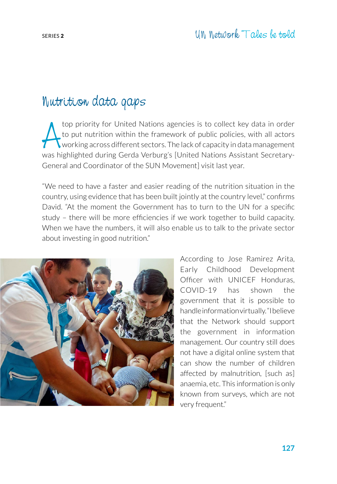### Nutrition data gaps

top priority for United Nations agencies is to collect key data in order<br>to put nutrition within the framework of public policies, with all actors<br>working across different sectors. The lack of capacity in data management<br>w top priority for United Nations agencies is to collect key data in order to put nutrition within the framework of public policies, with all actors working across different sectors. The lack of capacity in data management General and Coordinator of the SUN Movement] visit last year.

"We need to have a faster and easier reading of the nutrition situation in the country, using evidence that has been built jointly at the country level," confirms David. "At the moment the Government has to turn to the UN for a specific study – there will be more efficiencies if we work together to build capacity. When we have the numbers, it will also enable us to talk to the private sector about investing in good nutrition."



According to Jose Ramirez Arita, Early Childhood Development Officer with UNICEF Honduras, COVID-19 has shown the government that it is possible to handle information virtually. "I believe that the Network should support the government in information management. Our country still does not have a digital online system that can show the number of children affected by malnutrition, [such as] anaemia, etc. This information is only known from surveys, which are not very frequent."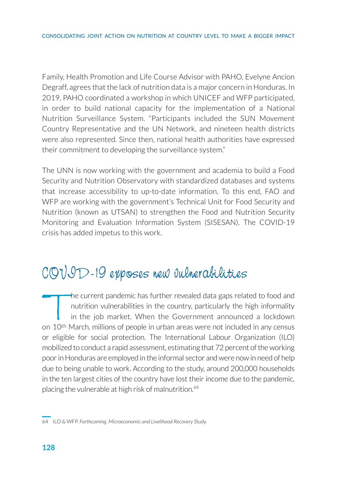Family, Health Promotion and Life Course Advisor with PAHO, Evelyne Ancion Degraff, agrees that the lack of nutrition data is a major concern in Honduras. In 2019, PAHO coordinated a workshop in which UNICEF and WFP participated, in order to build national capacity for the implementation of a National Nutrition Surveillance System. "Participants included the SUN Movement Country Representative and the UN Network, and nineteen health districts were also represented. Since then, national health authorities have expressed their commitment to developing the surveillance system."

The UNN is now working with the government and academia to build a Food Security and Nutrition Observatory with standardized databases and systems that increase accessibility to up-to-date information. To this end, FAO and WFP are working with the government's Technical Unit for Food Security and Nutrition (known as UTSAN) to strengthen the Food and Nutrition Security Monitoring and Evaluation Information System (SISESAN). The COVID-19 crisis has added impetus to this work.

### COVID-19 exposes new vulnerabilities

The current pandemic has further revealed data gaps related to food and<br>nutrition vulnerabilities in the country, particularly the high informality<br>in the job market. When the Government announced a lockdown<br>n 10<sup>th</sup> March nutrition vulnerabilities in the country, particularly the high informality in the job market. When the Government announced a lockdown on 10th March, millions of people in urban areas were not included in any census or eligible for social protection. The International Labour Organization (ILO) mobilized to conduct a rapid assessment, estimating that 72 percent of the working poor in Honduras are employed in the informal sector and were now in need of help due to being unable to work. According to the study, around 200,000 households in the ten largest cities of the country have lost their income due to the pandemic, placing the vulnerable at high risk of malnutrition.<sup>64</sup>

<sup>64</sup> ILO & WFP. *Forthcoming. Microeconomic and Livelihood Recovery Study.*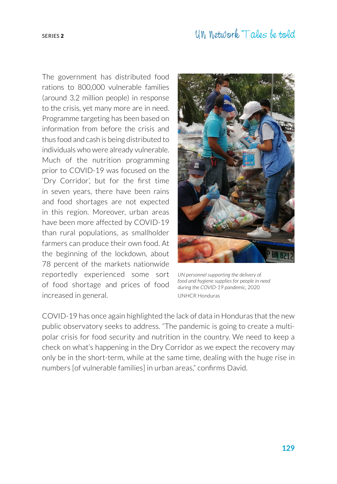The government has distributed food rations to 800,000 vulnerable families (around 3.2 million people) in response to the crisis, yet many more are in need. Programme targeting has been based on information from before the crisis and thus food and cash is being distributed to individuals who were already vulnerable. Much of the nutrition programming prior to COVID-19 was focused on the 'Dry Corridor', but for the first time in seven years, there have been rains and food shortages are not expected in this region. Moreover, urban areas have been more affected by COVID-19 than rural populations, as smallholder farmers can produce their own food. At the beginning of the lockdown, about 78 percent of the markets nationwide reportedly experienced some sort of food shortage and prices of food increased in general.



*UN personnel supporting the delivery of food and hygiene supplies for people in need during the COVID-19 pandemic,* 2020 UNHCR Honduras

COVID-19 has once again highlighted the lack of data in Honduras that the new public observatory seeks to address. "The pandemic is going to create a multipolar crisis for food security and nutrition in the country. We need to keep a check on what's happening in the Dry Corridor as we expect the recovery may only be in the short-term, while at the same time, dealing with the huge rise in numbers [of vulnerable families] in urban areas," confirms David.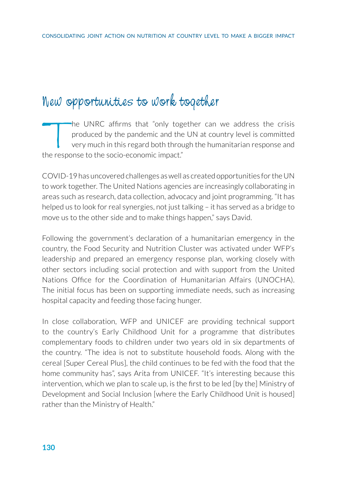## New opportunities to work together

The UNRC affirms that "only together can we address the crisis<br>produced by the pandemic and the UN at country level is committed<br>very much in this regard both through the humanitarian response and<br>the response to the socio produced by the pandemic and the UN at country level is committed very much in this regard both through the humanitarian response and the response to the socio-economic impact."

COVID-19 has uncovered challenges as well as created opportunities for the UN to work together. The United Nations agencies are increasingly collaborating in areas such as research, data collection, advocacy and joint programming. "It has helped us to look for real synergies, not just talking – it has served as a bridge to move us to the other side and to make things happen," says David.

Following the government's declaration of a humanitarian emergency in the country, the Food Security and Nutrition Cluster was activated under WFP's leadership and prepared an emergency response plan, working closely with other sectors including social protection and with support from the United Nations Office for the Coordination of Humanitarian Affairs (UNOCHA). The initial focus has been on supporting immediate needs, such as increasing hospital capacity and feeding those facing hunger.

In close collaboration, WFP and UNICEF are providing technical support to the country's Early Childhood Unit for a programme that distributes complementary foods to children under two years old in six departments of the country. "The idea is not to substitute household foods. Along with the cereal [Super Cereal Plus], the child continues to be fed with the food that the home community has", says Arita from UNICEF. "It's interesting because this intervention, which we plan to scale up, is the first to be led [by the] Ministry of Development and Social Inclusion [where the Early Childhood Unit is housed] rather than the Ministry of Health."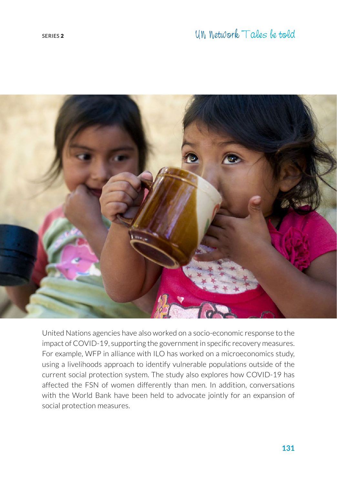

United Nations agencies have also worked on a socio-economic response to the impact of COVID-19, supporting the government in specific recovery measures. For example, WFP in alliance with ILO has worked on a microeconomics study, using a livelihoods approach to identify vulnerable populations outside of the current social protection system. The study also explores how COVID-19 has affected the FSN of women differently than men. In addition, conversations with the World Bank have been held to advocate jointly for an expansion of social protection measures.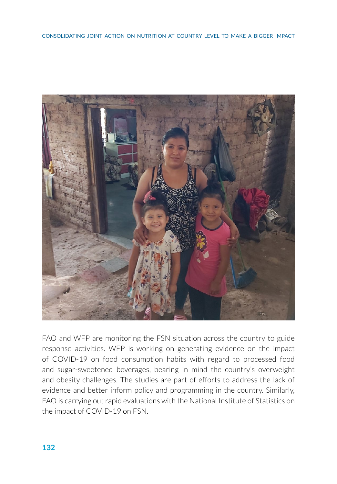

FAO and WFP are monitoring the FSN situation across the country to guide response activities. WFP is working on generating evidence on the impact of COVID-19 on food consumption habits with regard to processed food and sugar-sweetened beverages, bearing in mind the country's overweight and obesity challenges. The studies are part of efforts to address the lack of evidence and better inform policy and programming in the country. Similarly, FAO is carrying out rapid evaluations with the National Institute of Statistics on the impact of COVID-19 on FSN.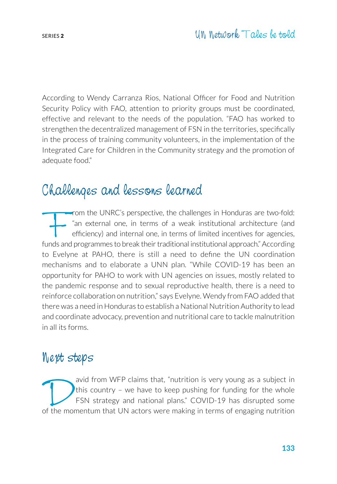According to Wendy Carranza Rios, National Officer for Food and Nutrition Security Policy with FAO, attention to priority groups must be coordinated, effective and relevant to the needs of the population. "FAO has worked to strengthen the decentralized management of FSN in the territories, specifically in the process of training community volunteers, in the implementation of the Integrated Care for Children in the Community strategy and the promotion of adequate food."

### Challenges and lessons learned

From the UNRC's perspective, the challenges in Honduras are two-fold: "an external one, in terms of a weak institutional architecture (and efficiency) and internal one, in terms of limited incentives for agencies, funds and programmes to break their traditional institutional approach." According to Evelyne at PAHO, there is still a need to define the UN coordination mechanisms and to elaborate a UNN plan. "While COVID-19 has been an opportunity for PAHO to work with UN agencies on issues, mostly related to the pandemic response and to sexual reproductive health, there is a need to reinforce collaboration on nutrition," says Evelyne. Wendy from FAO added that there was a need in Honduras to establish a National Nutrition Authority to lead and coordinate advocacy, prevention and nutritional care to tackle malnutrition in all its forms.

#### Next steps

avid from WFP claims that, "nutrition is very young as a subject in this country - we have to keep pushing for funding for the whole FSN strategy and national plans." COVID-19 has disrupted some of the momentum that UN act this country – we have to keep pushing for funding for the whole FSN strategy and national plans." COVID-19 has disrupted some of the momentum that UN actors were making in terms of engaging nutrition